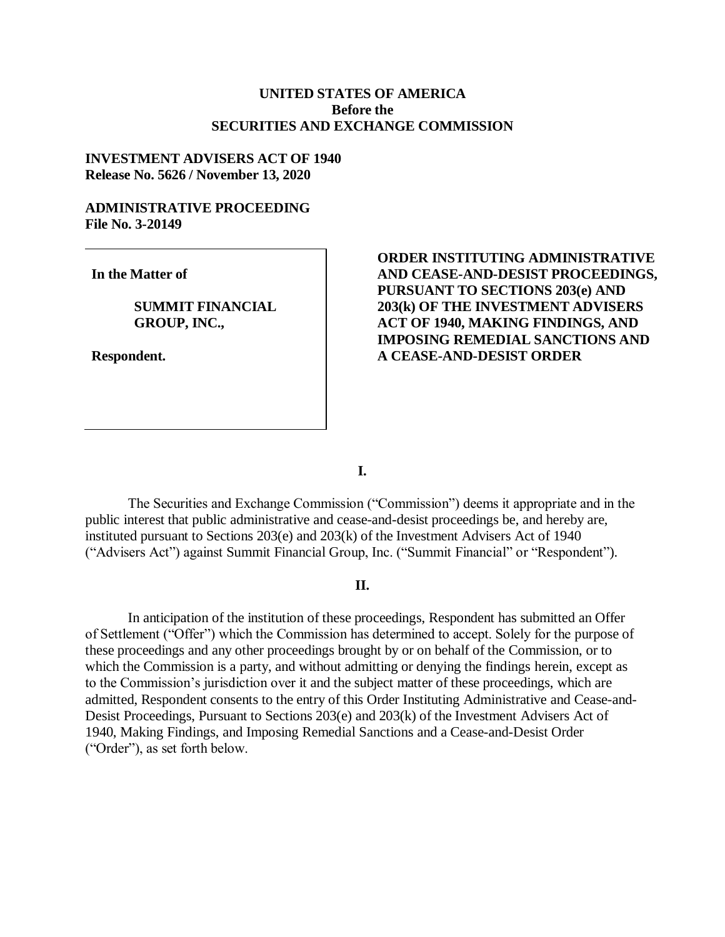# **UNITED STATES OF AMERICA Before the SECURITIES AND EXCHANGE COMMISSION**

## **INVESTMENT ADVISERS ACT OF 1940 Release No. 5626 / November 13, 2020**

### **ADMINISTRATIVE PROCEEDING File No. 3-20149**

**In the Matter of**

**SUMMIT FINANCIAL GROUP, INC.,**

**Respondent.**

**ORDER INSTITUTING ADMINISTRATIVE AND CEASE-AND-DESIST PROCEEDINGS, PURSUANT TO SECTIONS 203(e) AND 203(k) OF THE INVESTMENT ADVISERS ACT OF 1940, MAKING FINDINGS, AND IMPOSING REMEDIAL SANCTIONS AND A CEASE-AND-DESIST ORDER**

**I.**

The Securities and Exchange Commission ("Commission") deems it appropriate and in the public interest that public administrative and cease-and-desist proceedings be, and hereby are, instituted pursuant to Sections 203(e) and 203(k) of the Investment Advisers Act of 1940 ("Advisers Act") against Summit Financial Group, Inc. ("Summit Financial" or "Respondent").

## **II.**

In anticipation of the institution of these proceedings, Respondent has submitted an Offer of Settlement ("Offer") which the Commission has determined to accept. Solely for the purpose of these proceedings and any other proceedings brought by or on behalf of the Commission, or to which the Commission is a party, and without admitting or denying the findings herein, except as to the Commission's jurisdiction over it and the subject matter of these proceedings, which are admitted, Respondent consents to the entry of this Order Instituting Administrative and Cease-and-Desist Proceedings, Pursuant to Sections 203(e) and 203(k) of the Investment Advisers Act of 1940, Making Findings, and Imposing Remedial Sanctions and a Cease-and-Desist Order ("Order"), as set forth below.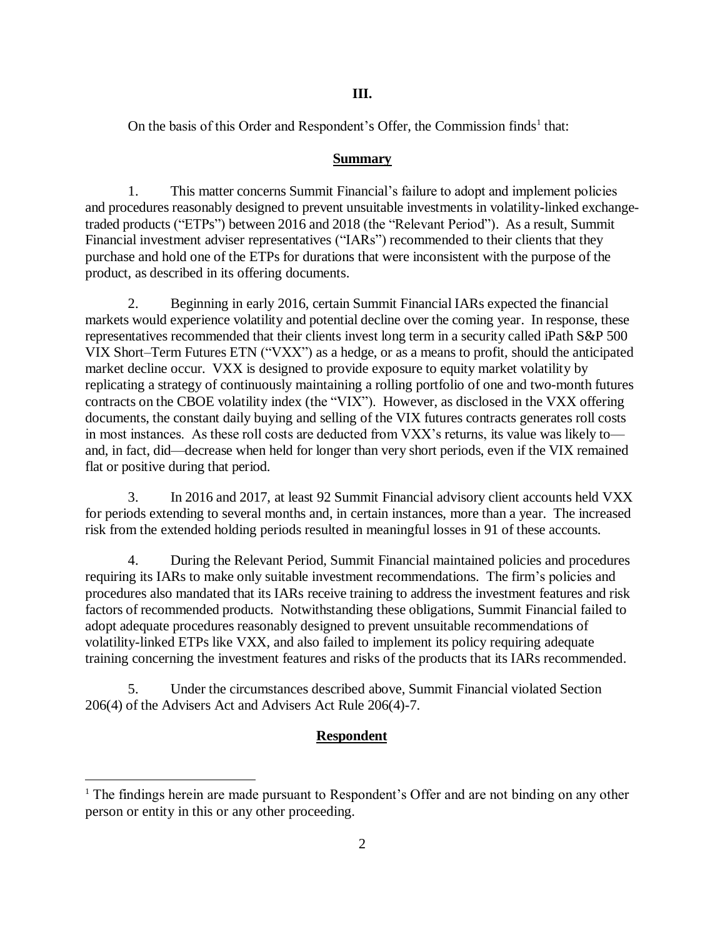### **III.**

On the basis of this Order and Respondent's Offer, the Commission finds<sup>1</sup> that:

### **Summary**

1. This matter concerns Summit Financial's failure to adopt and implement policies and procedures reasonably designed to prevent unsuitable investments in volatility-linked exchangetraded products ("ETPs") between 2016 and 2018 (the "Relevant Period"). As a result, Summit Financial investment adviser representatives ("IARs") recommended to their clients that they purchase and hold one of the ETPs for durations that were inconsistent with the purpose of the product, as described in its offering documents.

2. Beginning in early 2016, certain Summit Financial IARs expected the financial markets would experience volatility and potential decline over the coming year. In response, these representatives recommended that their clients invest long term in a security called iPath S&P 500 VIX Short–Term Futures ETN ("VXX") as a hedge, or as a means to profit, should the anticipated market decline occur. VXX is designed to provide exposure to equity market volatility by replicating a strategy of continuously maintaining a rolling portfolio of one and two-month futures contracts on the CBOE volatility index (the "VIX"). However, as disclosed in the VXX offering documents, the constant daily buying and selling of the VIX futures contracts generates roll costs in most instances. As these roll costs are deducted from VXX's returns, its value was likely to and, in fact, did—decrease when held for longer than very short periods, even if the VIX remained flat or positive during that period.

3. In 2016 and 2017, at least 92 Summit Financial advisory client accounts held VXX for periods extending to several months and, in certain instances, more than a year. The increased risk from the extended holding periods resulted in meaningful losses in 91 of these accounts.

4. During the Relevant Period, Summit Financial maintained policies and procedures requiring its IARs to make only suitable investment recommendations. The firm's policies and procedures also mandated that its IARs receive training to address the investment features and risk factors of recommended products. Notwithstanding these obligations, Summit Financial failed to adopt adequate procedures reasonably designed to prevent unsuitable recommendations of volatility-linked ETPs like VXX, and also failed to implement its policy requiring adequate training concerning the investment features and risks of the products that its IARs recommended.

5. Under the circumstances described above, Summit Financial violated Section 206(4) of the Advisers Act and Advisers Act Rule 206(4)-7.

 $\overline{a}$ 

# **Respondent**

 $<sup>1</sup>$  The findings herein are made pursuant to Respondent's Offer and are not binding on any other</sup> person or entity in this or any other proceeding.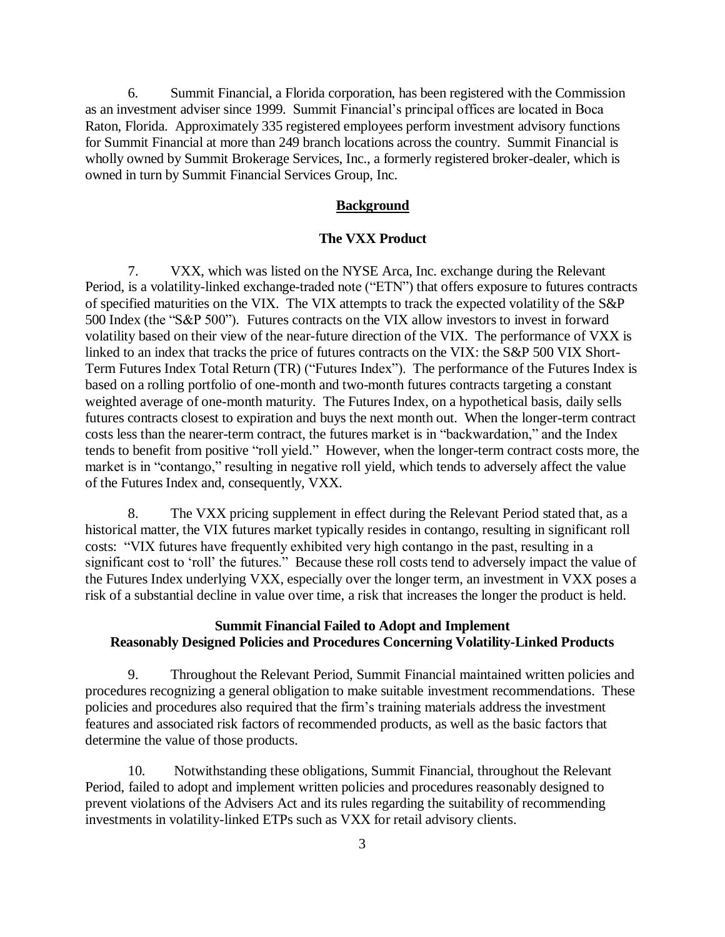6. Summit Financial, a Florida corporation, has been registered with the Commission as an investment adviser since 1999. Summit Financial's principal offices are located in Boca Raton, Florida. Approximately 335 registered employees perform investment advisory functions for Summit Financial at more than 249 branch locations across the country. Summit Financial is wholly owned by Summit Brokerage Services, Inc., a formerly registered broker-dealer, which is owned in turn by Summit Financial Services Group, Inc.

#### **Background**

### **The VXX Product**

7. VXX, which was listed on the NYSE Arca, Inc. exchange during the Relevant Period, is a volatility-linked exchange-traded note ("ETN") that offers exposure to futures contracts of specified maturities on the VIX. The VIX attempts to track the expected volatility of the S&P 500 Index (the "S&P 500"). Futures contracts on the VIX allow investors to invest in forward volatility based on their view of the near-future direction of the VIX. The performance of VXX is linked to an index that tracks the price of futures contracts on the VIX: the S&P 500 VIX Short-Term Futures Index Total Return (TR) ("Futures Index"). The performance of the Futures Index is based on a rolling portfolio of one-month and two-month futures contracts targeting a constant weighted average of one-month maturity. The Futures Index, on a hypothetical basis, daily sells futures contracts closest to expiration and buys the next month out. When the longer-term contract costs less than the nearer-term contract, the futures market is in "backwardation," and the Index tends to benefit from positive "roll yield." However, when the longer-term contract costs more, the market is in "contango," resulting in negative roll yield, which tends to adversely affect the value of the Futures Index and, consequently, VXX.

8. The VXX pricing supplement in effect during the Relevant Period stated that, as a historical matter, the VIX futures market typically resides in contango, resulting in significant roll costs: "VIX futures have frequently exhibited very high contango in the past, resulting in a significant cost to 'roll' the futures." Because these roll costs tend to adversely impact the value of the Futures Index underlying VXX, especially over the longer term, an investment in VXX poses a risk of a substantial decline in value over time, a risk that increases the longer the product is held.

# **Summit Financial Failed to Adopt and Implement Reasonably Designed Policies and Procedures Concerning Volatility-Linked Products**

9. Throughout the Relevant Period, Summit Financial maintained written policies and procedures recognizing a general obligation to make suitable investment recommendations. These policies and procedures also required that the firm's training materials address the investment features and associated risk factors of recommended products, as well as the basic factors that determine the value of those products.

10. Notwithstanding these obligations, Summit Financial, throughout the Relevant Period, failed to adopt and implement written policies and procedures reasonably designed to prevent violations of the Advisers Act and its rules regarding the suitability of recommending investments in volatility-linked ETPs such as VXX for retail advisory clients.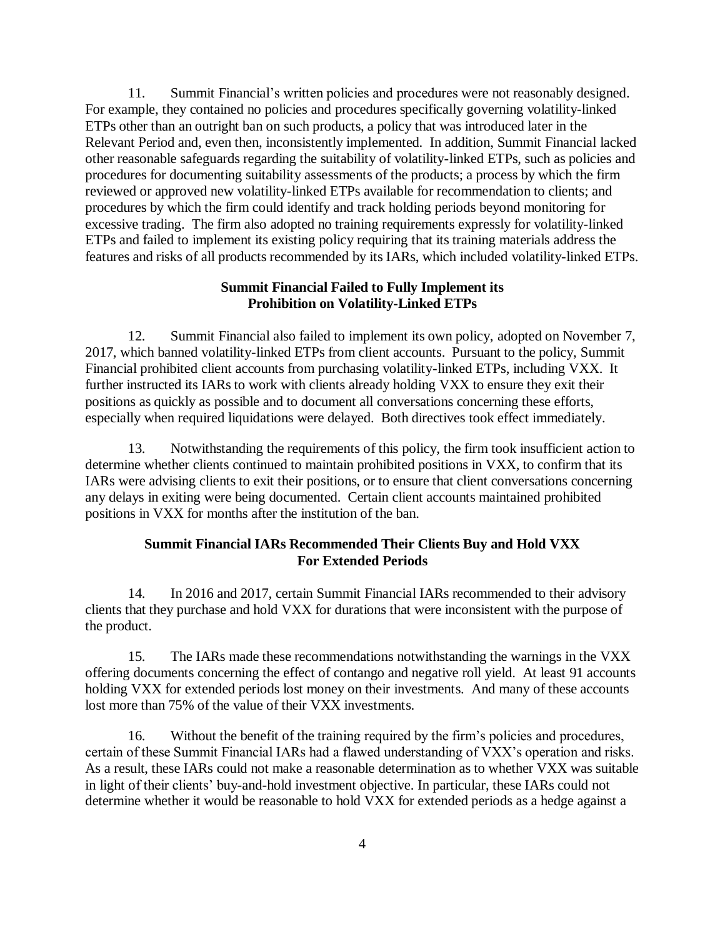11. Summit Financial's written policies and procedures were not reasonably designed. For example, they contained no policies and procedures specifically governing volatility-linked ETPs other than an outright ban on such products, a policy that was introduced later in the Relevant Period and, even then, inconsistently implemented. In addition, Summit Financial lacked other reasonable safeguards regarding the suitability of volatility-linked ETPs, such as policies and procedures for documenting suitability assessments of the products; a process by which the firm reviewed or approved new volatility-linked ETPs available for recommendation to clients; and procedures by which the firm could identify and track holding periods beyond monitoring for excessive trading. The firm also adopted no training requirements expressly for volatility-linked ETPs and failed to implement its existing policy requiring that its training materials address the features and risks of all products recommended by its IARs, which included volatility-linked ETPs.

## **Summit Financial Failed to Fully Implement its Prohibition on Volatility-Linked ETPs**

12. Summit Financial also failed to implement its own policy, adopted on November 7, 2017, which banned volatility-linked ETPs from client accounts. Pursuant to the policy, Summit Financial prohibited client accounts from purchasing volatility-linked ETPs, including VXX. It further instructed its IARs to work with clients already holding VXX to ensure they exit their positions as quickly as possible and to document all conversations concerning these efforts, especially when required liquidations were delayed. Both directives took effect immediately.

13. Notwithstanding the requirements of this policy, the firm took insufficient action to determine whether clients continued to maintain prohibited positions in VXX, to confirm that its IARs were advising clients to exit their positions, or to ensure that client conversations concerning any delays in exiting were being documented. Certain client accounts maintained prohibited positions in VXX for months after the institution of the ban.

## **Summit Financial IARs Recommended Their Clients Buy and Hold VXX For Extended Periods**

14. In 2016 and 2017, certain Summit Financial IARs recommended to their advisory clients that they purchase and hold VXX for durations that were inconsistent with the purpose of the product.

15. The IARs made these recommendations notwithstanding the warnings in the VXX offering documents concerning the effect of contango and negative roll yield. At least 91 accounts holding VXX for extended periods lost money on their investments. And many of these accounts lost more than 75% of the value of their VXX investments.

16. Without the benefit of the training required by the firm's policies and procedures, certain of these Summit Financial IARs had a flawed understanding of VXX's operation and risks. As a result, these IARs could not make a reasonable determination as to whether VXX was suitable in light of their clients' buy-and-hold investment objective. In particular, these IARs could not determine whether it would be reasonable to hold VXX for extended periods as a hedge against a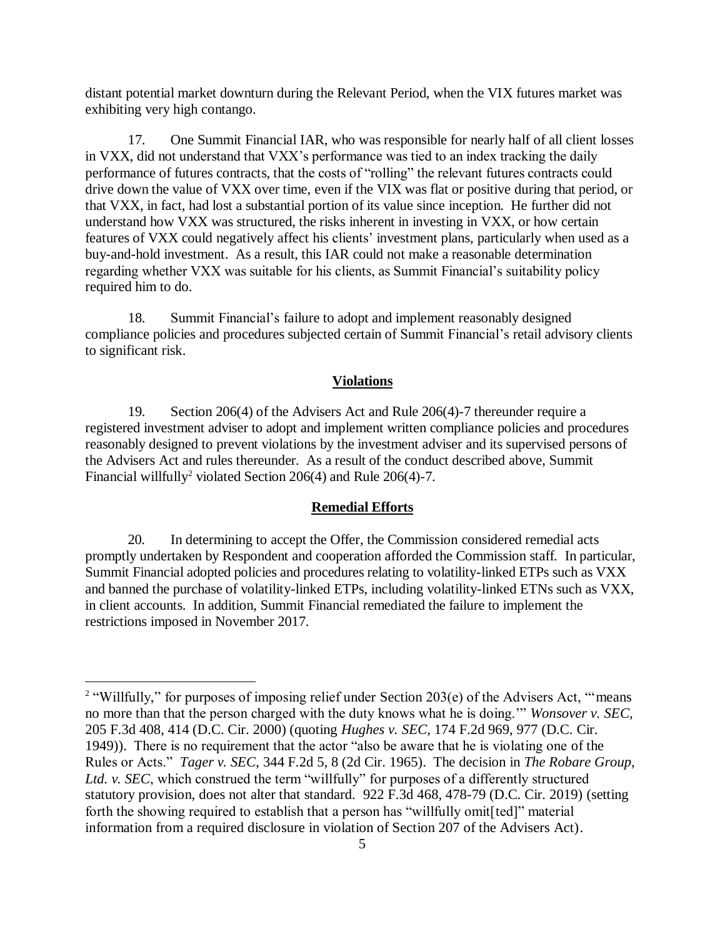distant potential market downturn during the Relevant Period, when the VIX futures market was exhibiting very high contango.

17. One Summit Financial IAR, who was responsible for nearly half of all client losses in VXX, did not understand that VXX's performance was tied to an index tracking the daily performance of futures contracts, that the costs of "rolling" the relevant futures contracts could drive down the value of VXX over time, even if the VIX was flat or positive during that period, or that VXX, in fact, had lost a substantial portion of its value since inception. He further did not understand how VXX was structured, the risks inherent in investing in VXX, or how certain features of VXX could negatively affect his clients' investment plans, particularly when used as a buy-and-hold investment. As a result, this IAR could not make a reasonable determination regarding whether VXX was suitable for his clients, as Summit Financial's suitability policy required him to do.

18. Summit Financial's failure to adopt and implement reasonably designed compliance policies and procedures subjected certain of Summit Financial's retail advisory clients to significant risk.

#### **Violations**

19. Section 206(4) of the Advisers Act and Rule 206(4)-7 thereunder require a registered investment adviser to adopt and implement written compliance policies and procedures reasonably designed to prevent violations by the investment adviser and its supervised persons of the Advisers Act and rules thereunder. As a result of the conduct described above, Summit Financial willfully<sup>2</sup> violated Section 206(4) and Rule 206(4)-7.

### **Remedial Efforts**

20. In determining to accept the Offer, the Commission considered remedial acts promptly undertaken by Respondent and cooperation afforded the Commission staff*.* In particular, Summit Financial adopted policies and procedures relating to volatility-linked ETPs such as VXX and banned the purchase of volatility-linked ETPs, including volatility-linked ETNs such as VXX, in client accounts. In addition, Summit Financial remediated the failure to implement the restrictions imposed in November 2017.

 $\overline{a}$ 

<sup>&</sup>lt;sup>2</sup> "Willfully," for purposes of imposing relief under Section 203(e) of the Advisers Act, "means no more than that the person charged with the duty knows what he is doing.'" *Wonsover v. SEC*, 205 F.3d 408, 414 (D.C. Cir. 2000) (quoting *Hughes v. SEC*, 174 F.2d 969, 977 (D.C. Cir. 1949)). There is no requirement that the actor "also be aware that he is violating one of the Rules or Acts." *Tager v. SEC*, 344 F.2d 5, 8 (2d Cir. 1965). The decision in *The Robare Group, Ltd. v. SEC*, which construed the term "willfully" for purposes of a differently structured statutory provision, does not alter that standard. 922 F.3d 468, 478-79 (D.C. Cir. 2019) (setting forth the showing required to establish that a person has "willfully omit[ted]" material information from a required disclosure in violation of Section 207 of the Advisers Act).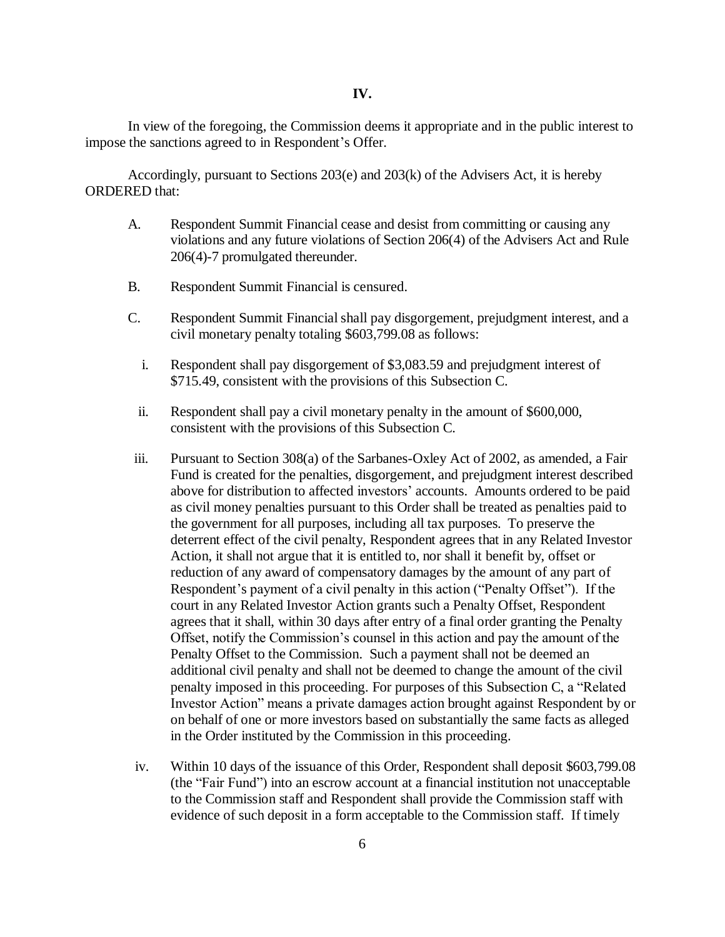In view of the foregoing, the Commission deems it appropriate and in the public interest to impose the sanctions agreed to in Respondent's Offer.

Accordingly, pursuant to Sections 203(e) and 203(k) of the Advisers Act, it is hereby ORDERED that:

- A. Respondent Summit Financial cease and desist from committing or causing any violations and any future violations of Section 206(4) of the Advisers Act and Rule 206(4)-7 promulgated thereunder.
- B. Respondent Summit Financial is censured.
- C. Respondent Summit Financialshall pay disgorgement, prejudgment interest, and a civil monetary penalty totaling \$603,799.08 as follows:
	- i. Respondent shall pay disgorgement of \$3,083.59 and prejudgment interest of \$715.49, consistent with the provisions of this Subsection C.
	- ii. Respondent shall pay a civil monetary penalty in the amount of \$600,000, consistent with the provisions of this Subsection C.
- iii. Pursuant to Section 308(a) of the Sarbanes-Oxley Act of 2002, as amended, a Fair Fund is created for the penalties, disgorgement, and prejudgment interest described above for distribution to affected investors' accounts. Amounts ordered to be paid as civil money penalties pursuant to this Order shall be treated as penalties paid to the government for all purposes, including all tax purposes. To preserve the deterrent effect of the civil penalty, Respondent agrees that in any Related Investor Action, it shall not argue that it is entitled to, nor shall it benefit by, offset or reduction of any award of compensatory damages by the amount of any part of Respondent's payment of a civil penalty in this action ("Penalty Offset"). If the court in any Related Investor Action grants such a Penalty Offset, Respondent agrees that it shall, within 30 days after entry of a final order granting the Penalty Offset, notify the Commission's counsel in this action and pay the amount of the Penalty Offset to the Commission. Such a payment shall not be deemed an additional civil penalty and shall not be deemed to change the amount of the civil penalty imposed in this proceeding. For purposes of this Subsection C, a "Related Investor Action" means a private damages action brought against Respondent by or on behalf of one or more investors based on substantially the same facts as alleged in the Order instituted by the Commission in this proceeding.
- iv. Within 10 days of the issuance of this Order, Respondent shall deposit \$603,799.08 (the "Fair Fund") into an escrow account at a financial institution not unacceptable to the Commission staff and Respondent shall provide the Commission staff with evidence of such deposit in a form acceptable to the Commission staff. If timely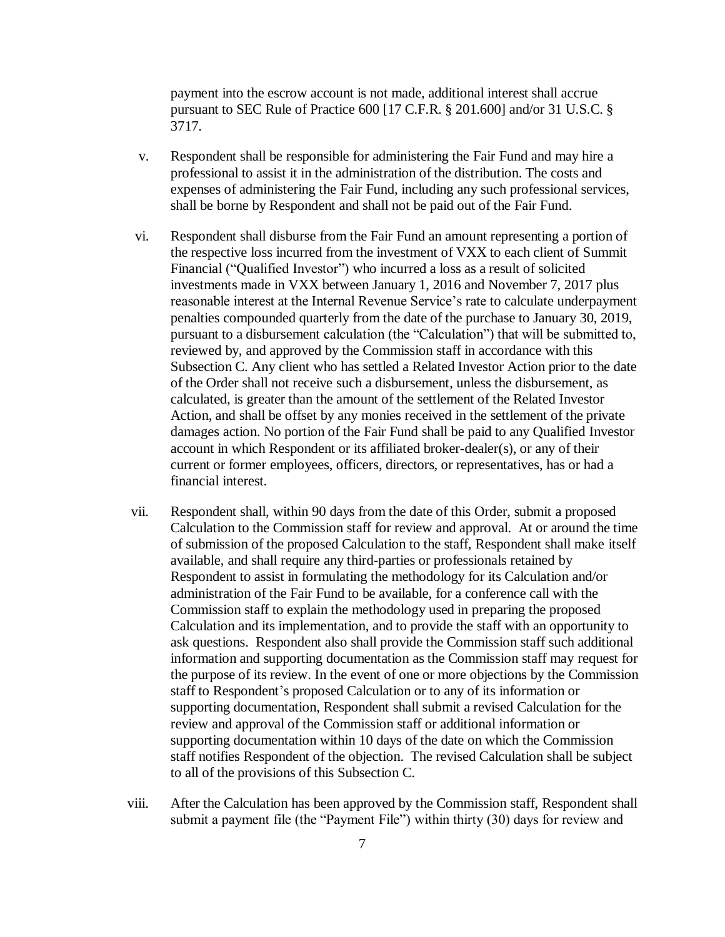payment into the escrow account is not made, additional interest shall accrue pursuant to SEC Rule of Practice 600 [17 C.F.R. § 201.600] and/or 31 U.S.C. § 3717.

- v. Respondent shall be responsible for administering the Fair Fund and may hire a professional to assist it in the administration of the distribution. The costs and expenses of administering the Fair Fund, including any such professional services, shall be borne by Respondent and shall not be paid out of the Fair Fund.
- vi. Respondent shall disburse from the Fair Fund an amount representing a portion of the respective loss incurred from the investment of VXX to each client of Summit Financial ("Qualified Investor") who incurred a loss as a result of solicited investments made in VXX between January 1, 2016 and November 7, 2017 plus reasonable interest at the Internal Revenue Service's rate to calculate underpayment penalties compounded quarterly from the date of the purchase to January 30, 2019, pursuant to a disbursement calculation (the "Calculation") that will be submitted to, reviewed by, and approved by the Commission staff in accordance with this Subsection C. Any client who has settled a Related Investor Action prior to the date of the Order shall not receive such a disbursement, unless the disbursement, as calculated, is greater than the amount of the settlement of the Related Investor Action, and shall be offset by any monies received in the settlement of the private damages action. No portion of the Fair Fund shall be paid to any Qualified Investor account in which Respondent or its affiliated broker-dealer(s), or any of their current or former employees, officers, directors, or representatives, has or had a financial interest.
- vii. Respondent shall, within 90 days from the date of this Order, submit a proposed Calculation to the Commission staff for review and approval. At or around the time of submission of the proposed Calculation to the staff, Respondent shall make itself available, and shall require any third-parties or professionals retained by Respondent to assist in formulating the methodology for its Calculation and/or administration of the Fair Fund to be available, for a conference call with the Commission staff to explain the methodology used in preparing the proposed Calculation and its implementation, and to provide the staff with an opportunity to ask questions. Respondent also shall provide the Commission staff such additional information and supporting documentation as the Commission staff may request for the purpose of its review. In the event of one or more objections by the Commission staff to Respondent's proposed Calculation or to any of its information or supporting documentation, Respondent shall submit a revised Calculation for the review and approval of the Commission staff or additional information or supporting documentation within 10 days of the date on which the Commission staff notifies Respondent of the objection. The revised Calculation shall be subject to all of the provisions of this Subsection C.
- viii. After the Calculation has been approved by the Commission staff, Respondent shall submit a payment file (the "Payment File") within thirty (30) days for review and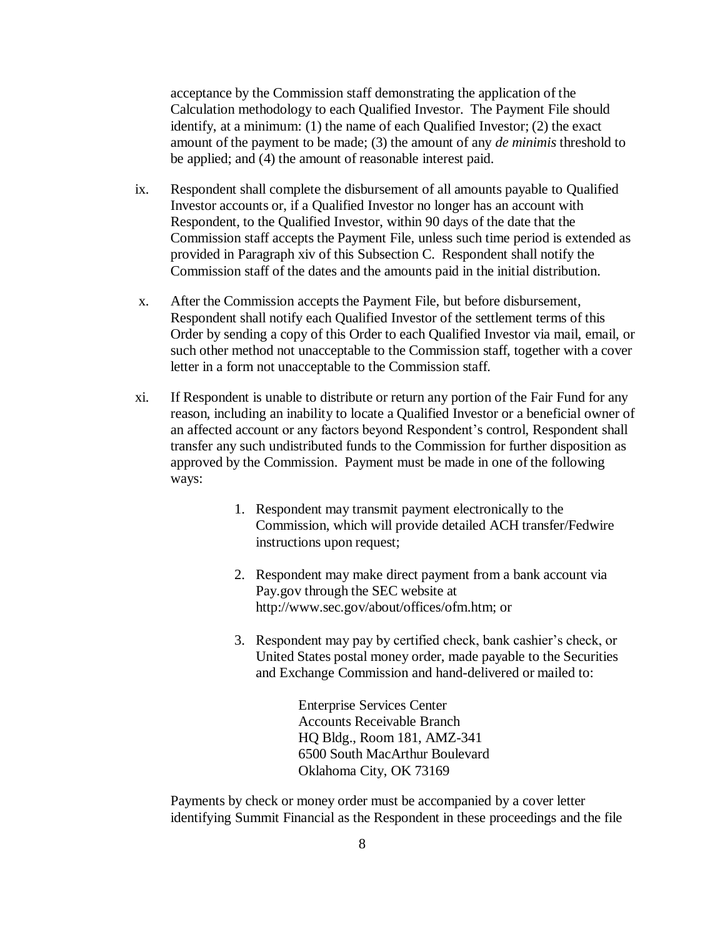acceptance by the Commission staff demonstrating the application of the Calculation methodology to each Qualified Investor. The Payment File should identify, at a minimum: (1) the name of each Qualified Investor; (2) the exact amount of the payment to be made; (3) the amount of any *de minimis* threshold to be applied; and (4) the amount of reasonable interest paid.

- ix. Respondent shall complete the disbursement of all amounts payable to Qualified Investor accounts or, if a Qualified Investor no longer has an account with Respondent, to the Qualified Investor, within 90 days of the date that the Commission staff accepts the Payment File, unless such time period is extended as provided in Paragraph xiv of this Subsection C. Respondent shall notify the Commission staff of the dates and the amounts paid in the initial distribution.
- x. After the Commission accepts the Payment File, but before disbursement, Respondent shall notify each Qualified Investor of the settlement terms of this Order by sending a copy of this Order to each Qualified Investor via mail, email, or such other method not unacceptable to the Commission staff, together with a cover letter in a form not unacceptable to the Commission staff.
- xi. If Respondent is unable to distribute or return any portion of the Fair Fund for any reason, including an inability to locate a Qualified Investor or a beneficial owner of an affected account or any factors beyond Respondent's control, Respondent shall transfer any such undistributed funds to the Commission for further disposition as approved by the Commission. Payment must be made in one of the following ways:
	- 1. Respondent may transmit payment electronically to the Commission, which will provide detailed ACH transfer/Fedwire instructions upon request;
	- 2. Respondent may make direct payment from a bank account via Pay.gov through the SEC website at http://www.sec.gov/about/offices/ofm.htm; or
	- 3. Respondent may pay by certified check, bank cashier's check, or United States postal money order, made payable to the Securities and Exchange Commission and hand-delivered or mailed to:

Enterprise Services Center Accounts Receivable Branch HQ Bldg., Room 181, AMZ-341 6500 South MacArthur Boulevard Oklahoma City, OK 73169

Payments by check or money order must be accompanied by a cover letter identifying Summit Financial as the Respondent in these proceedings and the file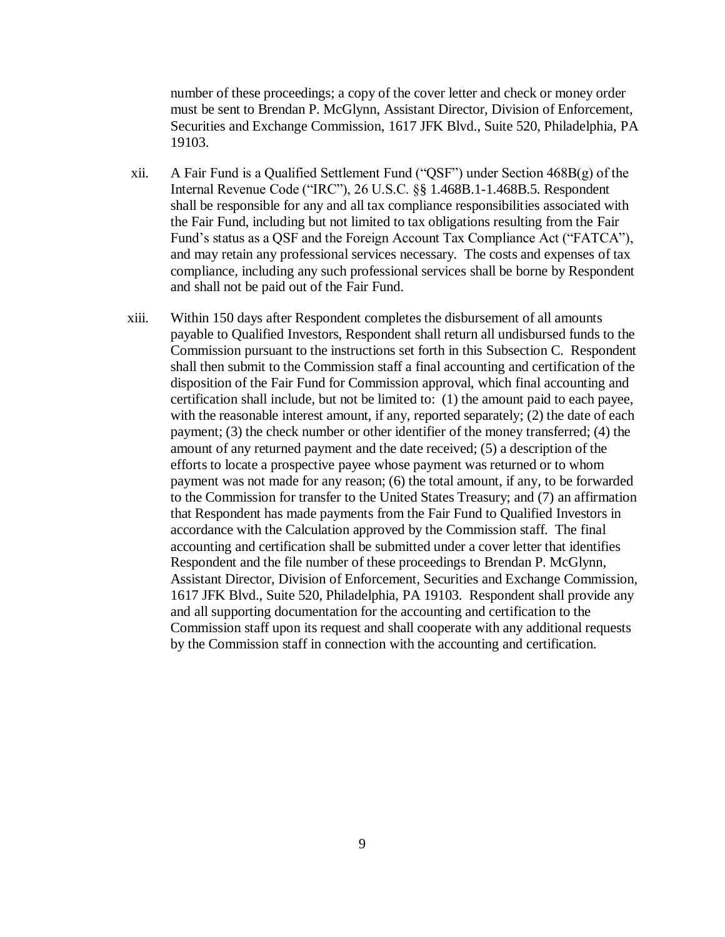number of these proceedings; a copy of the cover letter and check or money order must be sent to Brendan P. McGlynn, Assistant Director, Division of Enforcement, Securities and Exchange Commission, 1617 JFK Blvd., Suite 520, Philadelphia, PA 19103.

- xii. A Fair Fund is a Qualified Settlement Fund ("QSF") under Section 468B(g) of the Internal Revenue Code ("IRC"), 26 U.S.C. §§ 1.468B.1-1.468B.5. Respondent shall be responsible for any and all tax compliance responsibilities associated with the Fair Fund, including but not limited to tax obligations resulting from the Fair Fund's status as a QSF and the Foreign Account Tax Compliance Act ("FATCA"), and may retain any professional services necessary. The costs and expenses of tax compliance, including any such professional services shall be borne by Respondent and shall not be paid out of the Fair Fund.
- xiii. Within 150 days after Respondent completes the disbursement of all amounts payable to Qualified Investors, Respondent shall return all undisbursed funds to the Commission pursuant to the instructions set forth in this Subsection C. Respondent shall then submit to the Commission staff a final accounting and certification of the disposition of the Fair Fund for Commission approval, which final accounting and certification shall include, but not be limited to: (1) the amount paid to each payee, with the reasonable interest amount, if any, reported separately; (2) the date of each payment; (3) the check number or other identifier of the money transferred; (4) the amount of any returned payment and the date received; (5) a description of the efforts to locate a prospective payee whose payment was returned or to whom payment was not made for any reason; (6) the total amount, if any, to be forwarded to the Commission for transfer to the United States Treasury; and (7) an affirmation that Respondent has made payments from the Fair Fund to Qualified Investors in accordance with the Calculation approved by the Commission staff. The final accounting and certification shall be submitted under a cover letter that identifies Respondent and the file number of these proceedings to Brendan P. McGlynn, Assistant Director, Division of Enforcement, Securities and Exchange Commission, 1617 JFK Blvd., Suite 520, Philadelphia, PA 19103. Respondent shall provide any and all supporting documentation for the accounting and certification to the Commission staff upon its request and shall cooperate with any additional requests by the Commission staff in connection with the accounting and certification.